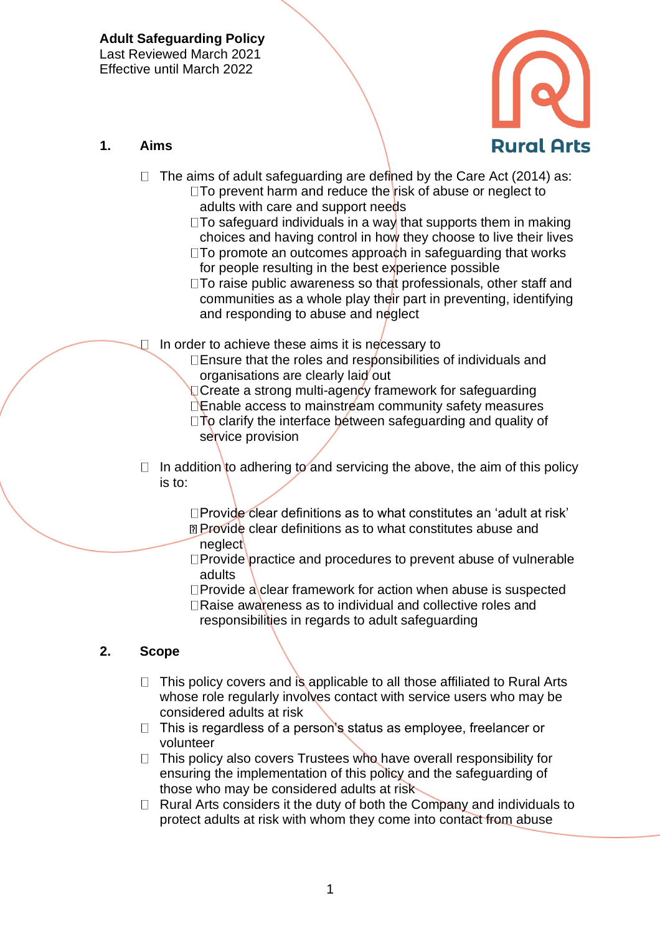

#### **1. Aims**

- $\Box$  The aims of adult safeguarding are defined by the Care Act (2014) as:
	- $\Box$ To prevent harm and reduce the risk of abuse or neglect to adults with care and support needs
	- $\square$ To safeguard individuals in a way that supports them in making choices and having control in how they choose to live their lives
	- $\square$ To promote an outcomes approach in safeguarding that works for people resulting in the best experience possible
	- $\square$ To raise public awareness so that professionals, other staff and communities as a whole play their part in preventing, identifying and responding to abuse and neglect
- In order to achieve these aims it is necessary to
	- $\square$  Ensure that the roles and responsibilities of individuals and organisations are clearly laid out
	- **O** Create a strong multi-agency framework for safeguarding
	- Enable access to mainstream community safety measures  $\Box$ To clarify the interface between safeguarding and quality of
	- service provision
- $\Box$  In addition to adhering to and servicing the above, the aim of this policy is to:

Provide clear definitions as to what constitutes an 'adult at risk' **Provide clear definitions as to what constitutes abuse and** neglect

- □Provide practice and procedures to prevent abuse of vulnerable adults
- $\Box$ Provide a clear framework for action when abuse is suspected □Raise awareness as to individual and collective roles and
- responsibilities in regards to adult safeguarding

### **2. Scope**

- $\Box$  This policy covers and is applicable to all those affiliated to Rural Arts whose role regularly involves contact with service users who may be considered adults at risk
- $\Box$  This is regardless of a person's status as employee, freelancer or volunteer
- $\Box$  This policy also covers Trustees who have overall responsibility for ensuring the implementation of this policy and the safeguarding of those who may be considered adults at risk
- $\Box$  Rural Arts considers it the duty of both the Company and individuals to protect adults at risk with whom they come into contact from abuse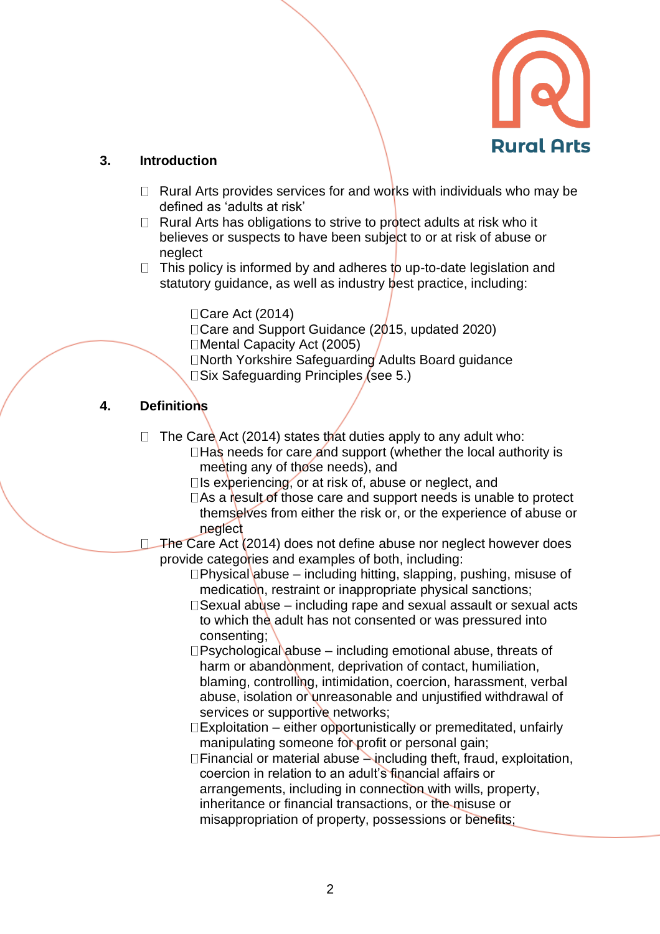

### **3. Introduction**

- $\Box$  Rural Arts provides services for and works with individuals who may be defined as 'adults at risk'
- $\Box$  Rural Arts has obligations to strive to protect adults at risk who it believes or suspects to have been subject to or at risk of abuse or neglect
- $\Box$  This policy is informed by and adheres to up-to-date legislation and statutory guidance, as well as industry best practice, including:

□ Care Act (2014)

Care and Support Guidance (2015, updated 2020)

□Mental Capacity Act (2005)

□North Yorkshire Safeguarding Adults Board guidance  $\square$ Six Safeguarding Principles (see 5.)

# **4. Definitions**

 $\Box$  The Care Act (2014) states that duties apply to any adult who:  $\Box$  Has needs for care and support (whether the local authority is

meeting any of those needs), and

- $\square$ Is experiencing, or at risk of, abuse or neglect, and
- $\Box$  As a result of those care and support needs is unable to protect themselves from either the risk or, or the experience of abuse or neglect
- □ The Care Act (2014) does not define abuse nor neglect however does provide categories and examples of both, including:
	- $\Box$ Physical abuse including hitting, slapping, pushing, misuse of medication, restraint or inappropriate physical sanctions;
	- $\square$  Sexual abuse including rape and sexual assault or sexual acts to which the adult has not consented or was pressured into consenting;
	- $\square$ Psychological abuse including emotional abuse, threats of harm or abandonment, deprivation of contact, humiliation, blaming, controlling, intimidation, coercion, harassment, verbal abuse, isolation or unreasonable and unjustified withdrawal of services or supportive networks;
	- $\square$ Exploitation either opportunistically or premeditated, unfairly manipulating someone for profit or personal gain;

 $\Box$  Financial or material abuse  $\rightarrow$  including theft, fraud, exploitation, coercion in relation to an adult's financial affairs or arrangements, including in connection with wills, property, inheritance or financial transactions, or the misuse or misappropriation of property, possessions or benefits;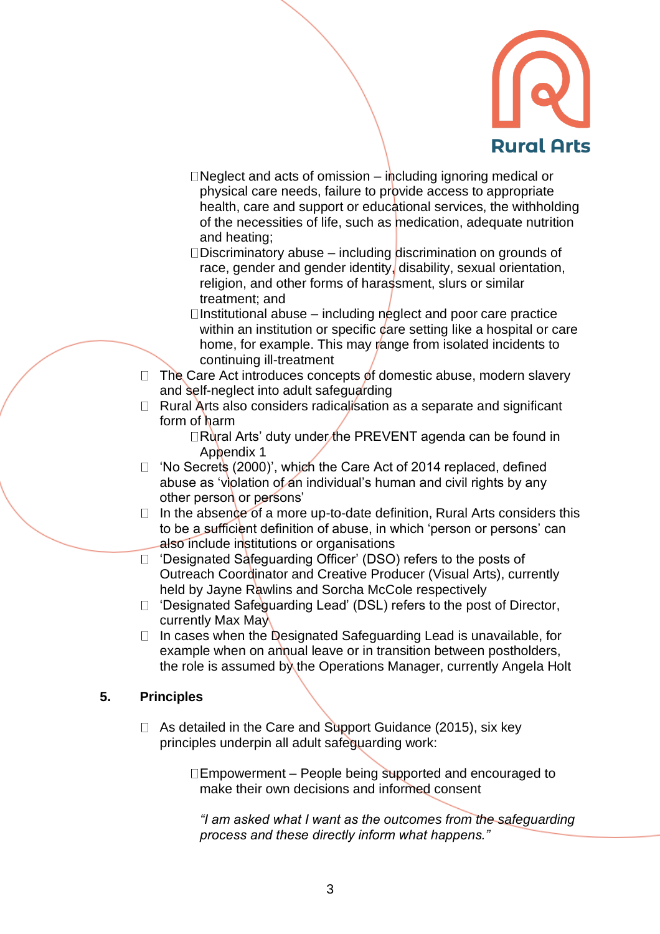

- D Neglect and acts of omission including ignoring medical or physical care needs, failure to provide access to appropriate health, care and support or educational services, the withholding of the necessities of life, such as medication, adequate nutrition and heating;
- Discriminatory abuse including discrimination on grounds of race, gender and gender identity, disability, sexual orientation, religion, and other forms of harassment, slurs or similar treatment; and
- $\Box$ Institutional abuse including neglect and poor care practice within an institution or specific care setting like a hospital or care home, for example. This may range from isolated incidents to continuing ill-treatment
- $\Box$  The Care Act introduces concepts of domestic abuse, modern slavery and self-neglect into adult safeguarding
- $\Box$  Rural Arts also considers radicalisation as a separate and significant form of harm

□Rural Arts' duty under the PREVENT agenda can be found in Appendix 1

- $\Box$  'No Secrets (2000)', which the Care Act of 2014 replaced, defined abuse as 'violation of an individual's human and civil rights by any other person or persons'
- $\Box$  In the absence of a more up-to-date definition, Rural Arts considers this to be a sufficient definition of abuse, in which 'person or persons' can also include institutions or organisations
- □ 'Designated Safeguarding Officer' (DSO) refers to the posts of Outreach Coordinator and Creative Producer (Visual Arts), currently held by Jayne Rawlins and Sorcha McCole respectively
- $\Box$  'Designated Safeguarding Lead' (DSL) refers to the post of Director, currently Max May
- $\Box$  In cases when the Designated Safeguarding Lead is unavailable, for example when on annual leave or in transition between postholders, the role is assumed by the Operations Manager, currently Angela Holt

#### **5. Principles**

 $\Box$  As detailed in the Care and Support Guidance (2015), six key principles underpin all adult safeguarding work:

> $\Box$ Empowerment – People being supported and encouraged to make their own decisions and informed consent

*"I am asked what I want as the outcomes from the safeguarding process and these directly inform what happens."*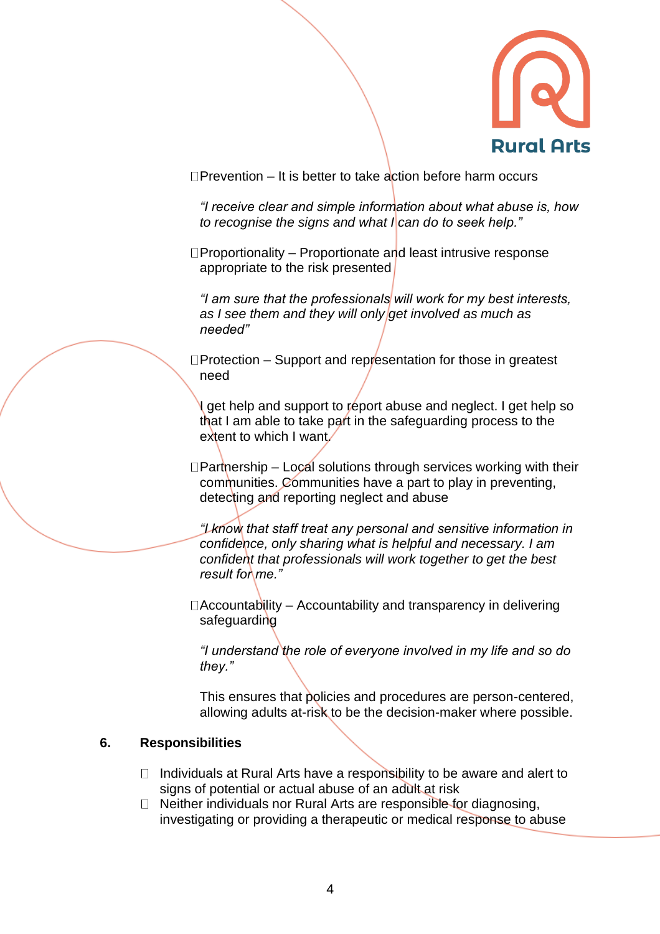

 $\Box$ Prevention – It is better to take action before harm occurs

*"I receive clear and simple information about what abuse is, how to recognise the signs and what I can do to seek help."*

 $\Box$ Proportionality – Proportionate and least intrusive response appropriate to the risk presented

*"I am sure that the professionals will work for my best interests, as I see them and they will only get involved as much as needed"*

 $\square$ Protection – Support and representation for those in greatest need

I get help and support to report abuse and neglect. I get help so that I am able to take part in the safeguarding process to the extent to which I want/

 $\Box$ Partnership – Local solutions through services working with their communities. Communities have a part to play in preventing, detecting and reporting neglect and abuse

*"I know that staff treat any personal and sensitive information in confidence, only sharing what is helpful and necessary. I am confident that professionals will work together to get the best result for me."* 

 $\Box$ Accountability – Accountability and transparency in delivering safeguarding

*"I understand the role of everyone involved in my life and so do they."*

This ensures that policies and procedures are person-centered, allowing adults at-risk to be the decision-maker where possible.

#### **6. Responsibilities**

- $\Box$  Individuals at Rural Arts have a responsibility to be aware and alert to signs of potential or actual abuse of an adult at risk
- $\Box$  Neither individuals nor Rural Arts are responsible for diagnosing, investigating or providing a therapeutic or medical response to abuse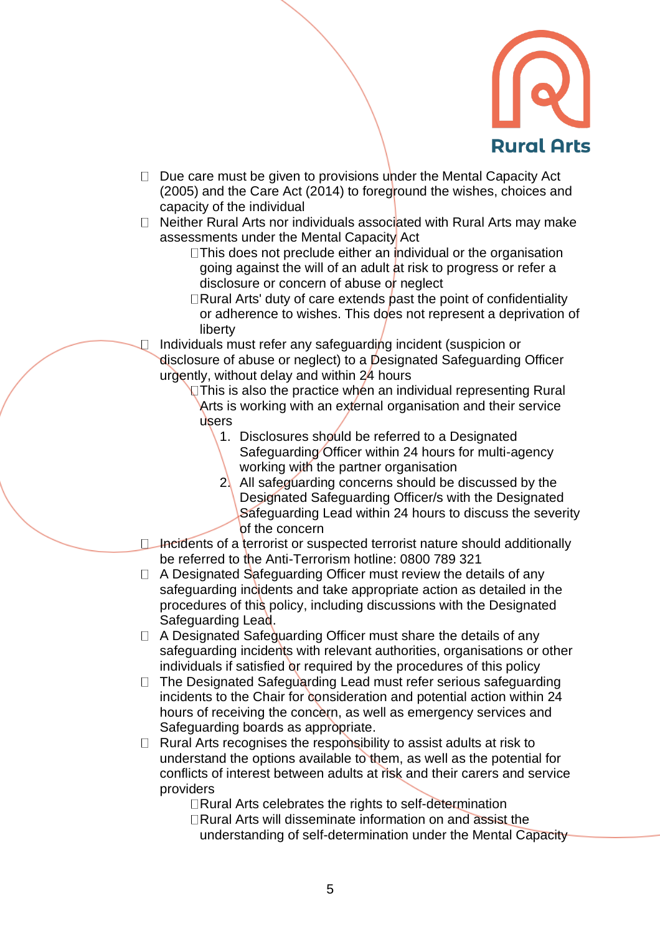

- $\Box$  Due care must be given to provisions under the Mental Capacity Act (2005) and the Care Act (2014) to foreground the wishes, choices and capacity of the individual
- $\Box$  Neither Rural Arts nor individuals associated with Rural Arts may make assessments under the Mental Capacity Act
	- $\Box$ This does not preclude either an individual or the organisation going against the will of an adult at risk to progress or refer a disclosure or concern of abuse or neglect
	- Rural Arts' duty of care extends past the point of confidentiality or adherence to wishes. This does not represent a deprivation of liberty

Individuals must refer any safeguarding incident (suspicion or disclosure of abuse or neglect) to a Designated Safeguarding Officer urgently, without delay and within 24 hours

**This is also the practice when an individual representing Rural** Arts is working with an external organisation and their service users

- 1. Disclosures should be referred to a Designated Safeguarding Officer within 24 hours for multi-agency working with the partner organisation
- 2. All safeguarding concerns should be discussed by the Designated Safeguarding Officer/s with the Designated Safeguarding Lead within 24 hours to discuss the severity of the concern
- $\Box$  Incidents of a terrorist or suspected terrorist nature should additionally be referred to the Anti-Terrorism hotline: 0800 789 321
- $\Box$  A Designated Safeguarding Officer must review the details of any safeguarding incidents and take appropriate action as detailed in the procedures of this policy, including discussions with the Designated Safeguarding Lead.
- $\Box$  A Designated Safeguarding Officer must share the details of any safeguarding incidents with relevant authorities, organisations or other individuals if satisfied or required by the procedures of this policy
- $\Box$  The Designated Safeguarding Lead must refer serious safeguarding incidents to the Chair for consideration and potential action within 24 hours of receiving the concern, as well as emergency services and Safeguarding boards as appropriate.
- $\Box$  Rural Arts recognises the responsibility to assist adults at risk to understand the options available to them, as well as the potential for conflicts of interest between adults at risk and their carers and service providers

□Rural Arts celebrates the rights to self-determination

 $\Box$ Rural Arts will disseminate information on and assist the understanding of self-determination under the Mental Capacity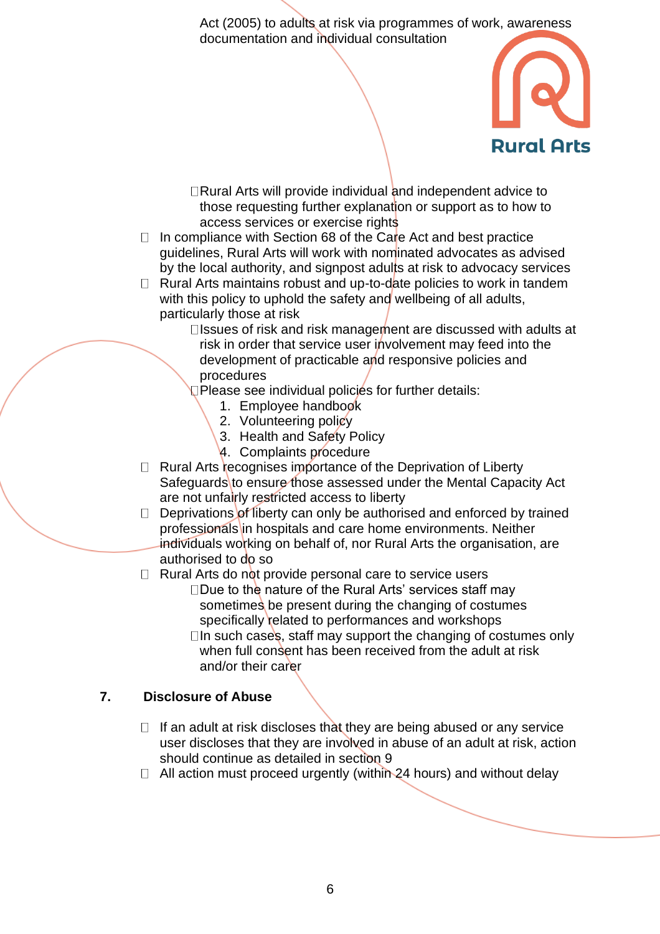Act (2005) to adults at risk via programmes of work, awareness documentation and individual consultation



 $\Box$ Rural Arts will provide individual and independent advice to those requesting further explanation or support as to how to access services or exercise rights

 $\Box$  In compliance with Section 68 of the Care Act and best practice guidelines, Rural Arts will work with nominated advocates as advised by the local authority, and signpost adults at risk to advocacy services

 $\Box$  Rural Arts maintains robust and up-to-date policies to work in tandem with this policy to uphold the safety and wellbeing of all adults, particularly those at risk

 $\square$  Issues of risk and risk management are discussed with adults at risk in order that service user involvement may feed into the development of practicable and responsive policies and procedures

Please see individual policies for further details:

- 1. Employee handbook
- 2. Volunteering policy
- 3. Health and Safety Policy
- 4. Complaints procedure
- $\Box$  Rural Arts recognises importance of the Deprivation of Liberty Safeguards to ensure those assessed under the Mental Capacity Act are not unfairly restricted access to liberty
- $\Box$  Deprivations of liberty can only be authorised and enforced by trained professionals in hospitals and care home environments. Neither individuals working on behalf of, nor Rural Arts the organisation, are authorised to do so

 $\Box$  Rural Arts do not provide personal care to service users

- $\square$ Due to the nature of the Rural Arts' services staff may sometimes be present during the changing of costumes specifically related to performances and workshops
	- $\Box$  In such cases, staff may support the changing of costumes only when full consent has been received from the adult at risk and/or their carer

#### **7. Disclosure of Abuse**

- $\Box$  If an adult at risk discloses that they are being abused or any service user discloses that they are involved in abuse of an adult at risk, action should continue as detailed in section 9
- $\Box$  All action must proceed urgently (within 24 hours) and without delay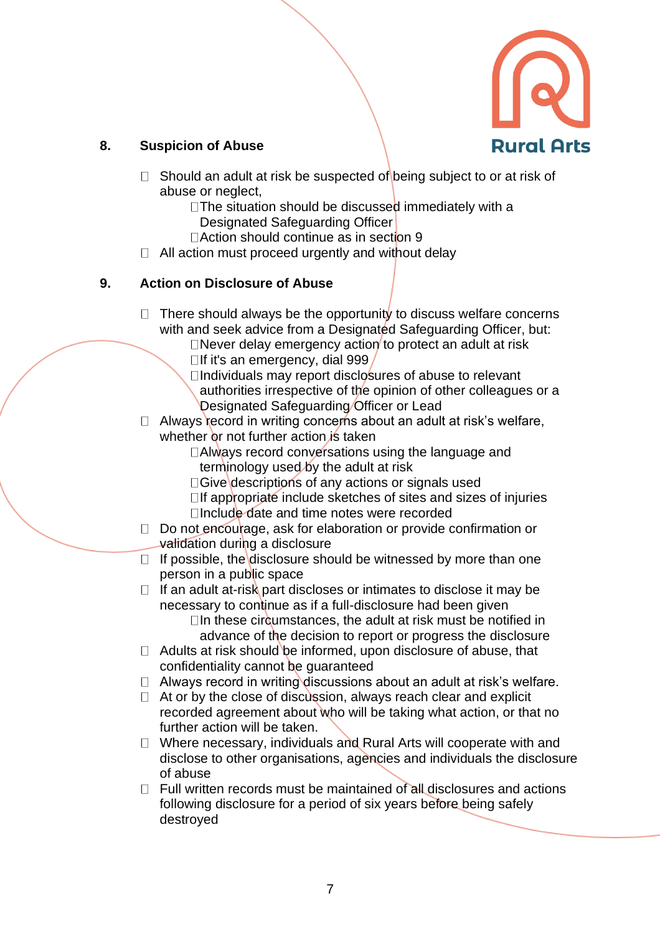

## **8. Suspicion of Abuse**

- $\Box$  Should an adult at risk be suspected of being subject to or at risk of abuse or neglect,
	- $\Box$ The situation should be discussed immediately with a Designated Safeguarding Officer
	- $\Box$  Action should continue as in section 9
- $\Box$  All action must proceed urgently and without delay

### **9. Action on Disclosure of Abuse**

- $\Box$  There should always be the opportunity to discuss welfare concerns with and seek advice from a Designated Safeguarding Officer, but:
	- $\Box$ Never delay emergency action to protect an adult at risk  $\Box$ If it's an emergency, dial 999
	- $\Box$ Individuals may report disclosures of abuse to relevant authorities irrespective of the opinion of other colleagues or a Designated Safeguarding Officer or Lead
- $\Box$  Always record in writing concerns about an adult at risk's welfare, whether or not further action is taken
	- □Always record conversations using the language and terminology used by the adult at risk
	- $\Box$ Give descriptions of any actions or signals used
	- $\Box$  If appropriate include sketches of sites and sizes of injuries  $\Box$ Include date and time notes were recorded
- $\Box$  Do not encourage, ask for elaboration or provide confirmation or validation during a disclosure
- $\Box$  If possible, the disclosure should be witnessed by more than one person in a public space
- $\Box$  If an adult at-risk part discloses or intimates to disclose it may be necessary to continue as if a full-disclosure had been given

 $\Box$ In these circumstances, the adult at risk must be notified in advance of the decision to report or progress the disclosure

- $\Box$  Adults at risk should be informed, upon disclosure of abuse, that confidentiality cannot be guaranteed
- $\Box$  Always record in writing discussions about an adult at risk's welfare.
- $\Box$  At or by the close of discussion, always reach clear and explicit recorded agreement about who will be taking what action, or that no further action will be taken.
- $\Box$  Where necessary, individuals and Rural Arts will cooperate with and disclose to other organisations, agencies and individuals the disclosure of abuse
- $\Box$  Full written records must be maintained of all disclosures and actions following disclosure for a period of six years before being safely destroyed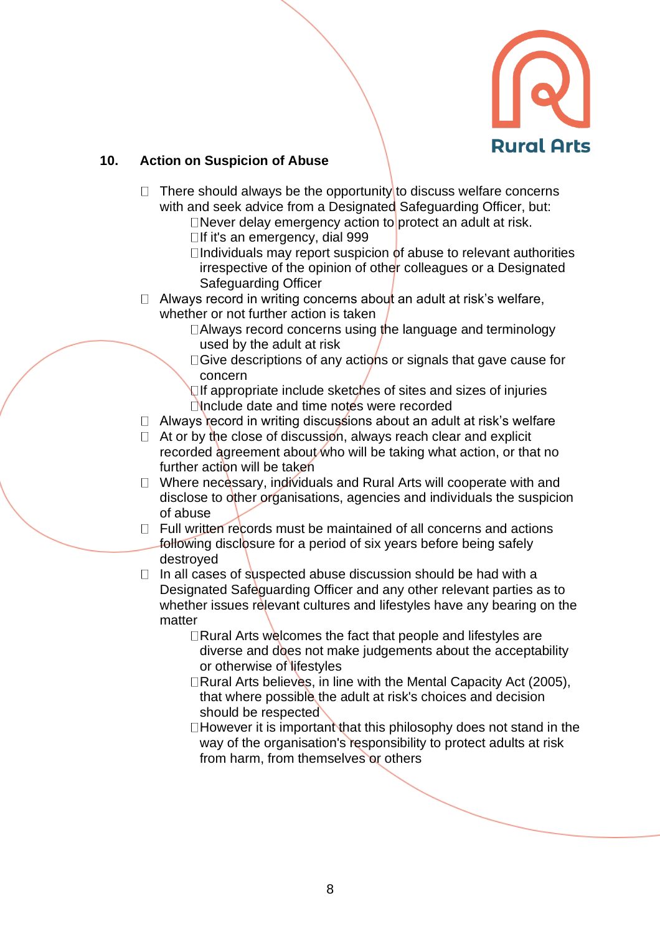

### **10. Action on Suspicion of Abuse**

- $\Box$  There should always be the opportunity to discuss welfare concerns with and seek advice from a Designated Safeguarding Officer, but:
	- $\Box$ Never delay emergency action to protect an adult at risk.  $\Box$ If it's an emergency, dial 999
	- $\Box$ Individuals may report suspicion of abuse to relevant authorities irrespective of the opinion of other colleagues or a Designated Safeguarding Officer
- $\Box$  Always record in writing concerns about an adult at risk's welfare, whether or not further action is taken
	- □Always record concerns using the language and terminology used by the adult at risk
	- □ Give descriptions of any actions or signals that gave cause for concern
	- If appropriate include sketches of sites and sizes of injuries  $\Box$ Include date and time notes were recorded
- $\Box$  Always record in writing discussions about an adult at risk's welfare
- $\Box$  At or by the close of discussion, always reach clear and explicit recorded agreement about who will be taking what action, or that no further action will be taken
- $\Box$  Where necessary, individuals and Rural Arts will cooperate with and disclose to other organisations, agencies and individuals the suspicion of abuse
- $\Box$  Full written records must be maintained of all concerns and actions following disclosure for a period of six years before being safely destroyed
- $\Box$  In all cases of suspected abuse discussion should be had with a Designated Safeguarding Officer and any other relevant parties as to whether issues relevant cultures and lifestyles have any bearing on the matter
	- $\Box$ Rural Arts welcomes the fact that people and lifestyles are diverse and does not make judgements about the acceptability or otherwise of lifestyles
	- □Rural Arts believes, in line with the Mental Capacity Act (2005), that where possible the adult at risk's choices and decision should be respected
	- $\Box$  However it is important that this philosophy does not stand in the way of the organisation's responsibility to protect adults at risk from harm, from themselves or others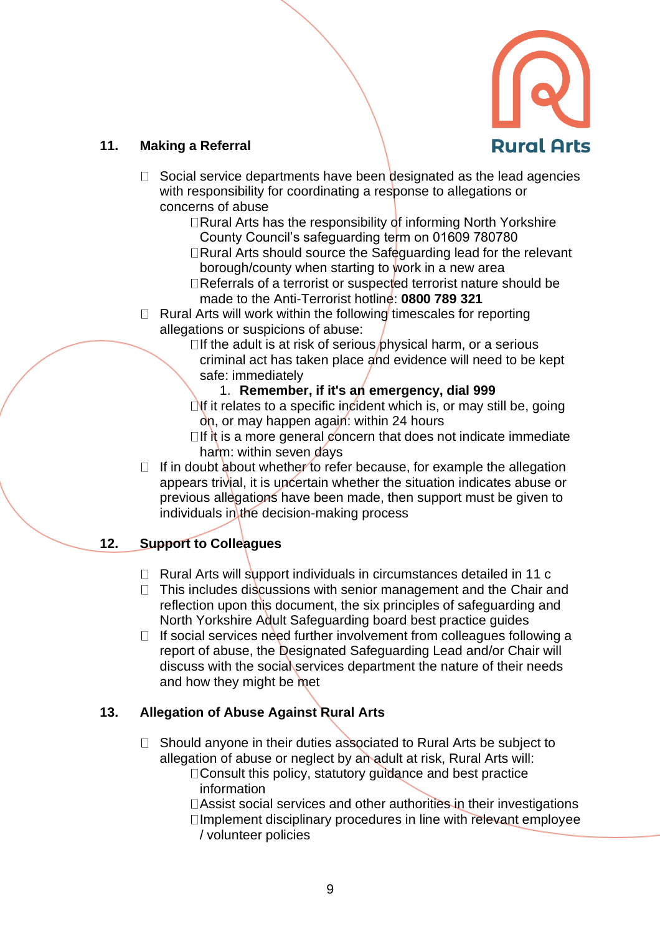

## **11. Making a Referral**

- $\Box$  Social service departments have been designated as the lead agencies with responsibility for coordinating a response to allegations or concerns of abuse
	- $\Box$ Rural Arts has the responsibility of informing North Yorkshire County Council's safeguarding term on 01609 780780
	- $\Box$ Rural Arts should source the Safeguarding lead for the relevant borough/county when starting to work in a new area
	- Referrals of a terrorist or suspected terrorist nature should be made to the Anti-Terrorist hotline: **0800 789 321**
- $\Box$  Rural Arts will work within the following timescales for reporting allegations or suspicions of abuse:
	- $\Box$  If the adult is at risk of serious physical harm, or a serious criminal act has taken place and evidence will need to be kept safe: immediately
		- 1. **Remember, if it's an emergency, dial 999**
	- $\Box$ If it relates to a specific incident which is, or may still be, going on, or may happen again: within 24 hours
	- $\Box$ If it is a more general concern that does not indicate immediate harm: within seven days
- $\Box$  If in doubt about whether to refer because, for example the allegation appears trivial, it is uncertain whether the situation indicates abuse or previous allegations have been made, then support must be given to individuals in the decision-making process

# **12. Support to Colleagues**

- $\Box$  Rural Arts will support individuals in circumstances detailed in 11 c
- $\Box$  This includes discussions with senior management and the Chair and reflection upon this document, the six principles of safeguarding and North Yorkshire Adult Safeguarding board best practice guides
- $\Box$  If social services need further involvement from colleagues following a report of abuse, the Designated Safeguarding Lead and/or Chair will discuss with the social services department the nature of their needs and how they might be met

# **13. Allegation of Abuse Against Rural Arts**

- $\Box$  Should anyone in their duties associated to Rural Arts be subject to allegation of abuse or neglect by an adult at risk, Rural Arts will:  $\Box$  Consult this policy, statutory guidance and best practice
	- information
	- Assist social services and other authorities in their investigations  $\square$ Implement disciplinary procedures in line with relevant employee
	- / volunteer policies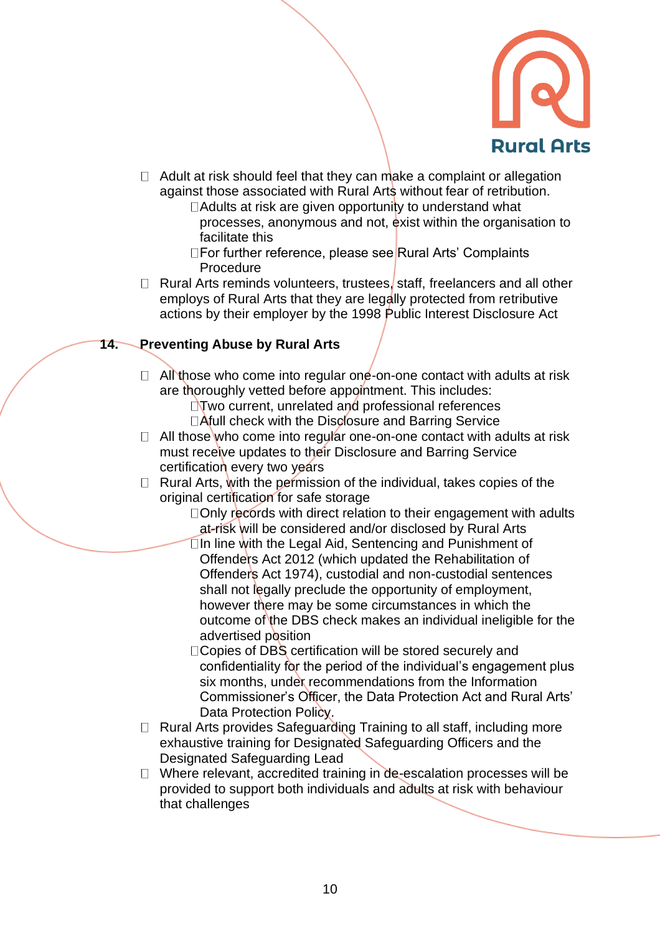

- $\Box$  Adult at risk should feel that they can make a complaint or allegation against those associated with Rural Arts without fear of retribution.
	- $\Box$  Adults at risk are given opportunity to understand what processes, anonymous and not, exist within the organisation to facilitate this
	- □For further reference, please see Rural Arts' Complaints Procedure
- $\Box$  Rural Arts reminds volunteers, trustees, staff, freelancers and all other employs of Rural Arts that they are legally protected from retributive actions by their employer by the 1998 Public Interest Disclosure Act

### **14. Preventing Abuse by Rural Arts**

- $\Box$  All those who come into regular one-on-one contact with adults at risk are thoroughly vetted before appointment. This includes:
	- $\Box$ Two current, unrelated and professional references □Afull check with the Disclosure and Barring Service
- $\Box$  All those who come into regular one-on-one contact with adults at risk must receive updates to their Disclosure and Barring Service certification every two years
- $\Box$  Rural Arts, with the permission of the individual, takes copies of the original certification for safe storage
	- □Only records with direct relation to their engagement with adults at-risk will be considered and/or disclosed by Rural Arts
	- $\square$ In line with the Legal Aid, Sentencing and Punishment of Offenders Act 2012 (which updated the Rehabilitation of Offenders Act 1974), custodial and non-custodial sentences shall not legally preclude the opportunity of employment, however there may be some circumstances in which the outcome of the DBS check makes an individual ineligible for the advertised position
	- DCopies of DBS certification will be stored securely and confidentiality for the period of the individual's engagement plus six months, under recommendations from the Information Commissioner's Officer, the Data Protection Act and Rural Arts' Data Protection Policy.
- $\Box$  Rural Arts provides Safeguarding Training to all staff, including more exhaustive training for Designated Safeguarding Officers and the Designated Safeguarding Lead
- $\Box$  Where relevant, accredited training in de-escalation processes will be provided to support both individuals and adults at risk with behaviour that challenges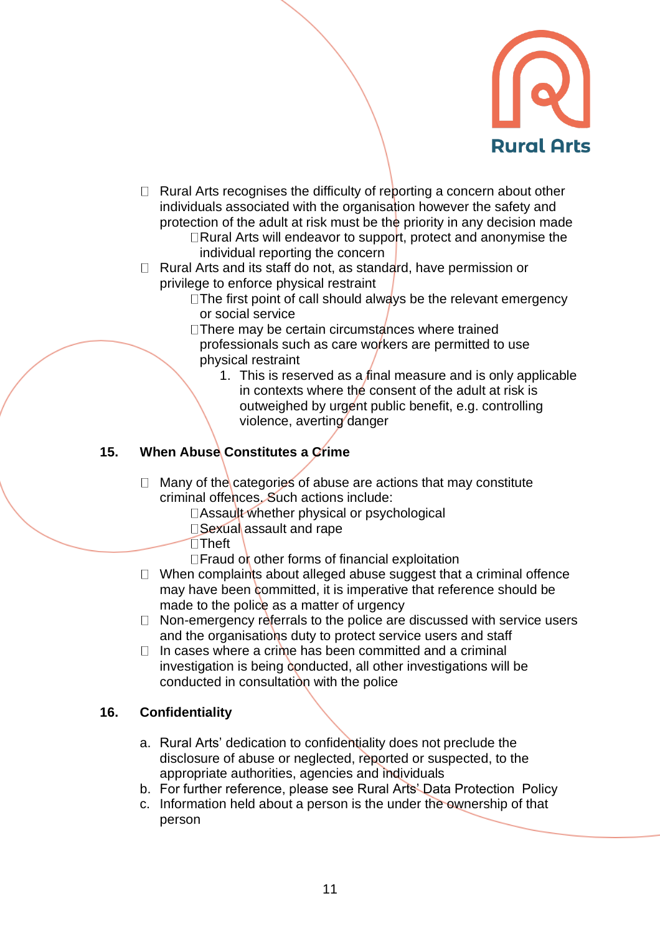

- $\Box$  Rural Arts recognises the difficulty of reporting a concern about other individuals associated with the organisation however the safety and protection of the adult at risk must be the priority in any decision made  $\Box$ Rural Arts will endeavor to support, protect and anonymise the individual reporting the concern
- $\Box$  Rural Arts and its staff do not, as standard, have permission or privilege to enforce physical restraint
	- $\square$  The first point of call should always be the relevant emergency or social service
	- $\Box$ There may be certain circumstances where trained professionals such as care workers are permitted to use physical restraint
		- 1. This is reserved as a final measure and is only applicable in contexts where the consent of the adult at risk is outweighed by urgent public benefit, e.g. controlling violence, averting danger

# **15. When Abuse Constitutes a Crime**

- $\Box$  Many of the categories of abuse are actions that may constitute criminal offences. Such actions include:
	- □Assault whether physical or psychological
	- □Sexual assault and rape
	- $\square$ Theft
	- $\Box$  Fraud or other forms of financial exploitation
- $\Box$  When complaints about alleged abuse suggest that a criminal offence may have been committed, it is imperative that reference should be made to the police as a matter of urgency
- $\Box$  Non-emergency referrals to the police are discussed with service users and the organisations duty to protect service users and staff
- $\Box$  In cases where a crime has been committed and a criminal investigation is being conducted, all other investigations will be conducted in consultation with the police

### **16. Confidentiality**

- a. Rural Arts' dedication to confidentiality does not preclude the disclosure of abuse or neglected, reported or suspected, to the appropriate authorities, agencies and individuals
- b. For further reference, please see Rural Arts' Data Protection Policy
- c. Information held about a person is the under the ownership of that person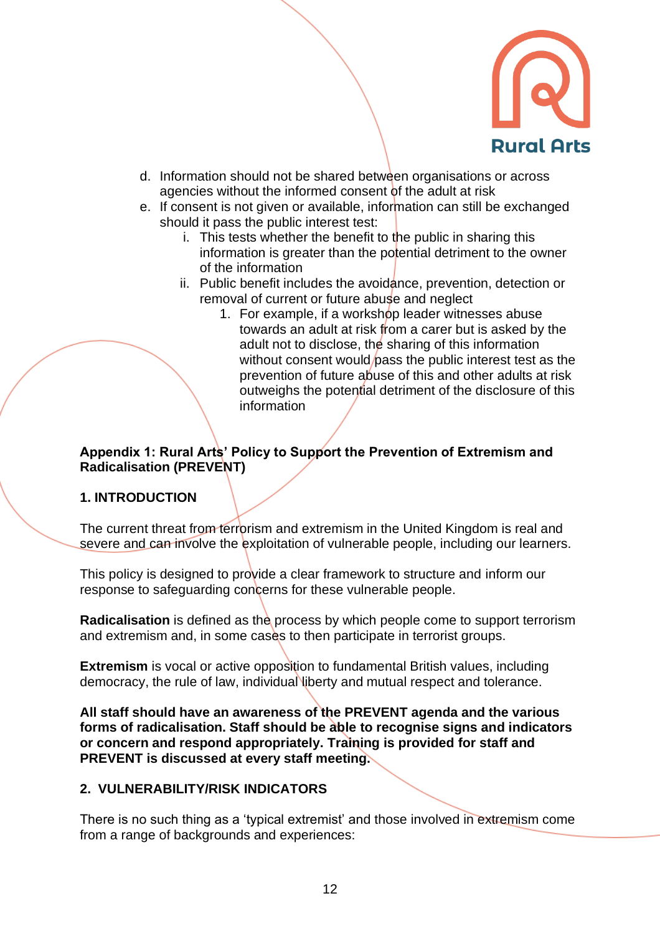

- d. Information should not be shared between organisations or across agencies without the informed consent of the adult at risk
- e. If consent is not given or available, information can still be exchanged should it pass the public interest test:
	- i. This tests whether the benefit to the public in sharing this information is greater than the potential detriment to the owner of the information
	- ii. Public benefit includes the avoidance, prevention, detection or removal of current or future abuse and neglect
		- 1. For example, if a workshop leader witnesses abuse towards an adult at risk from a carer but is asked by the adult not to disclose, the sharing of this information without consent would bass the public interest test as the prevention of future abuse of this and other adults at risk outweighs the potential detriment of the disclosure of this information

### **Appendix 1: Rural Arts' Policy to Support the Prevention of Extremism and Radicalisation (PREVENT)**

#### **1. INTRODUCTION**

The current threat from terrorism and extremism in the United Kingdom is real and severe and can involve the exploitation of vulnerable people, including our learners.

This policy is designed to provide a clear framework to structure and inform our response to safeguarding concerns for these vulnerable people.

**Radicalisation** is defined as the process by which people come to support terrorism and extremism and, in some cases to then participate in terrorist groups.

**Extremism** is vocal or active opposition to fundamental British values, including democracy, the rule of law, individual liberty and mutual respect and tolerance.

**All staff should have an awareness of the PREVENT agenda and the various forms of radicalisation. Staff should be able to recognise signs and indicators or concern and respond appropriately. Training is provided for staff and PREVENT is discussed at every staff meeting.**

#### **2. VULNERABILITY/RISK INDICATORS**

There is no such thing as a 'typical extremist' and those involved in extremism come from a range of backgrounds and experiences: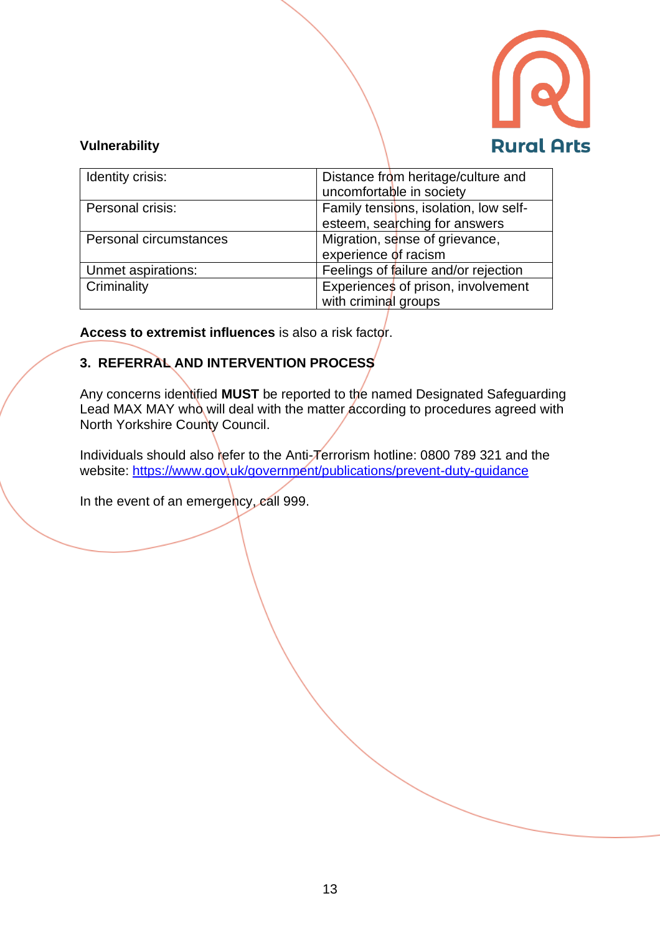

### **Vulnerability**

| Identity crisis:       | Distance from heritage/culture and    |
|------------------------|---------------------------------------|
|                        | uncomfortable in society              |
| Personal crisis:       | Family tensions, isolation, low self- |
|                        | esteem, searching for answers         |
| Personal circumstances | Migration, sense of grievance,        |
|                        | experience of racism                  |
| Unmet aspirations:     | Feelings of failure and/or rejection  |
| Criminality            | Experiences of prison, involvement    |
|                        | with criminal groups                  |

**Access to extremist influences** is also a risk factor.

# **3. REFERRAL AND INTERVENTION PROCESS**

Any concerns identified **MUST** be reported to the named Designated Safeguarding Lead MAX MAY who will deal with the matter according to procedures agreed with North Yorkshire County Council.

Individuals should also refer to the Anti-Terrorism hotline: 0800 789 321 and the website:<https://www.gov.uk/government/publications/prevent-duty-guidance>

In the event of an emergency, call 999.